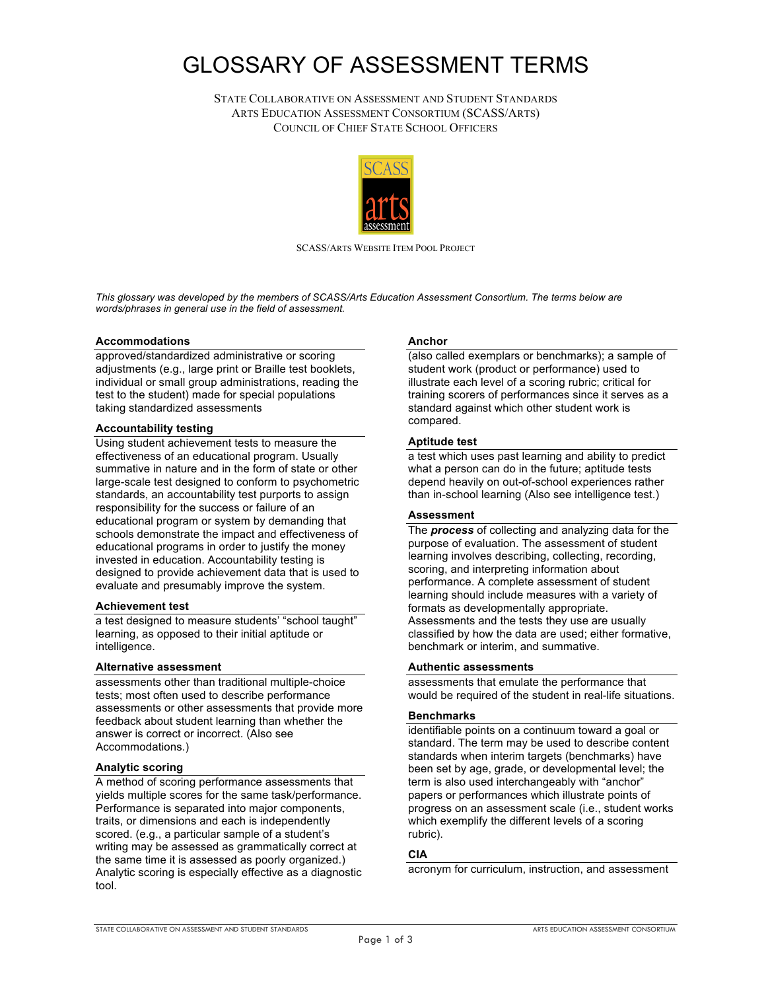# GLOSSARY OF ASSESSMENT TERMS

 COUNCIL OF CHIEF STATE SCHOOL OFFICERS STATE COLLABORATIVE ON ASSESSMENT AND STUDENT STANDARDS ARTS EDUCATION ASSESSMENT CONSORTIUM (SCASS/ARTS)



SCASS/ARTS WEBSITE ITEM POOL PROJECT

 *This glossary was developed by the members of SCASS/Arts Education Assessment Consortium. The terms below are words/phrases in general use in the field of assessment.* 

#### **Accommodations**

 adjustments (e.g., large print or Braille test booklets, approved/standardized administrative or scoring individual or small group administrations, reading the test to the student) made for special populations taking standardized assessments

#### **Accountability testing**

 Using student achievement tests to measure the effectiveness of an educational program. Usually summative in nature and in the form of state or other large-scale test designed to conform to psychometric standards, an accountability test purports to assign educational program or system by demanding that schools demonstrate the impact and effectiveness of educational programs in order to justify the money invested in education. Accountability testing is responsibility for the success or failure of an designed to provide achievement data that is used to evaluate and presumably improve the system.

#### **Achievement test**

 a test designed to measure students' "school taught" learning, as opposed to their initial aptitude or intelligence.

#### **Alternative assessment**

 assessments other than traditional multiple-choice assessments or other assessments that provide more answer is correct or incorrect. (Also see tests; most often used to describe performance feedback about student learning than whether the Accommodations.)

#### **Analytic scoring**

 A method of scoring performance assessments that yields multiple scores for the same task/performance. Performance is separated into major components, scored. (e.g., a particular sample of a student's writing may be assessed as grammatically correct at Analytic scoring is especially effective as a diagnostic traits, or dimensions and each is independently the same time it is assessed as poorly organized.) tool.

#### **Anchor**

 (also called exemplars or benchmarks); a sample of student work (product or performance) used to standard against which other student work is illustrate each level of a scoring rubric; critical for training scorers of performances since it serves as a compared.

#### **Aptitude test**

 a test which uses past learning and ability to predict than in-school learning (Also see intelligence test.) what a person can do in the future; aptitude tests depend heavily on out-of-school experiences rather

## **Assessment**

 The *process* of collecting and analyzing data for the purpose of evaluation. The assessment of student scoring, and interpreting information about performance. A complete assessment of student Assessments and the tests they use are usually classified by how the data are used; either formative, benchmark or interim, and summative. learning involves describing, collecting, recording, learning should include measures with a variety of formats as developmentally appropriate.

#### **Authentic assessments**

 assessments that emulate the performance that would be required of the student in real-life situations.

## **Benchmarks**

 identifiable points on a continuum toward a goal or standards when interim targets (benchmarks) have been set by age, grade, or developmental level; the papers or performances which illustrate points of which exemplify the different levels of a scoring standard. The term may be used to describe content term is also used interchangeably with "anchor" progress on an assessment scale (i.e., student works rubric).

## **CIA**

acronym for curriculum, instruction, and assessment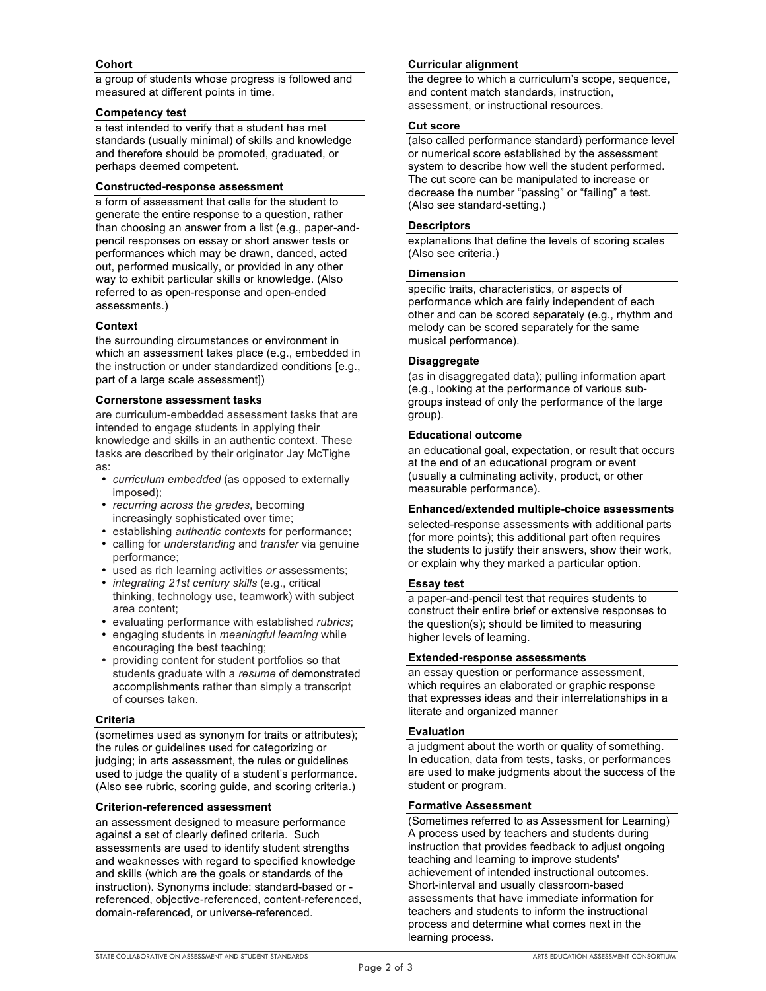# **Cohort**

 a group of students whose progress is followed and measured at different points in time.

#### **Competency test**

 a test intended to verify that a student has met standards (usually minimal) of skills and knowledge and therefore should be promoted, graduated, or perhaps deemed competent.

#### **Constructed-response assessment**

 a form of assessment that calls for the student to generate the entire response to a question, rather pencil responses on essay or short answer tests or performances which may be drawn, danced, acted out, performed musically, or provided in any other way to exhibit particular skills or knowledge. (Also referred to as open-response and open-ended than choosing an answer from a list (e.g., paper-andassessments.)

## **Context**

 which an assessment takes place (e.g., embedded in part of a large scale assessment]) the surrounding circumstances or environment in the instruction or under standardized conditions [e.g.,

## **Cornerstone assessment tasks**

 are curriculum-embedded assessment tasks that are knowledge and skills in an authentic context. These tasks are described by their originator Jay McTighe intended to engage students in applying their as:

- *curriculum embedded* (as opposed to externally imposed);
- *recurring across the grades*, becoming increasingly sophisticated over time;
- establishing *authentic contexts* for performance;
- calling for *understanding* and *transfer* via genuine performance;
- used as rich learning activities *or* assessments;
- • *integrating 21st century skills* (e.g., critical thinking, technology use, teamwork) with subject area content;
- evaluating performance with established *rubrics*;
- encouraging the best teaching; • engaging students in *meaningful learning* while
- accomplishments rather than simply a transcript of courses taken. • providing content for student portfolios so that students graduate with a *resume* of demonstrated

## **Criteria**

 (sometimes used as synonym for traits or attributes); judging; in arts assessment, the rules or guidelines used to judge the quality of a student's performance. (Also see rubric, scoring guide, and scoring criteria.) the rules or guidelines used for categorizing or

## **Criterion-referenced assessment**

 against a set of clearly defined criteria. Such assessments are used to identify student strengths and skills (which are the goals or standards of the instruction). Synonyms include: standard-based or an assessment designed to measure performance and weaknesses with regard to specified knowledge referenced, objective-referenced, content-referenced, domain-referenced, or universe-referenced.

# **Curricular alignment**

 and content match standards, instruction, assessment, or instructional resources. the degree to which a curriculum's scope, sequence,

## **Cut score**

 (also called performance standard) performance level or numerical score established by the assessment system to describe how well the student performed. decrease the number "passing" or "failing" a test. (Also see standard-setting.) The cut score can be manipulated to increase or

#### **Descriptors**

 explanations that define the levels of scoring scales (Also see criteria.)

#### **Dimension**

 specific traits, characteristics, or aspects of performance which are fairly independent of each other and can be scored separately (e.g., rhythm and melody can be scored separately for the same musical performance).

## **Disaggregate**

 (as in disaggregated data); pulling information apart (e.g., looking at the performance of various sub- groups instead of only the performance of the large group).

#### **Educational outcome**

 an educational goal, expectation, or result that occurs at the end of an educational program or event (usually a culminating activity, product, or other measurable performance).

## **Enhanced/extended multiple-choice assessments**

 selected-response assessments with additional parts (for more points); this additional part often requires or explain why they marked a particular option. the students to justify their answers, show their work,

## **Essay test**

 a paper-and-pencil test that requires students to construct their entire brief or extensive responses to higher levels of learning. the question(s); should be limited to measuring

## **Extended-response assessments**

 which requires an elaborated or graphic response an essay question or performance assessment, that expresses ideas and their interrelationships in a literate and organized manner

## **Evaluation**

 a judgment about the worth or quality of something. are used to make judgments about the success of the student or program. In education, data from tests, tasks, or performances

## **Formative Assessment**

 (Sometimes referred to as Assessment for Learning) A process used by teachers and students during achievement of intended instructional outcomes. assessments that have immediate information for process and determine what comes next in the instruction that provides feedback to adjust ongoing teaching and learning to improve students' Short-interval and usually classroom-based teachers and students to inform the instructional learning process.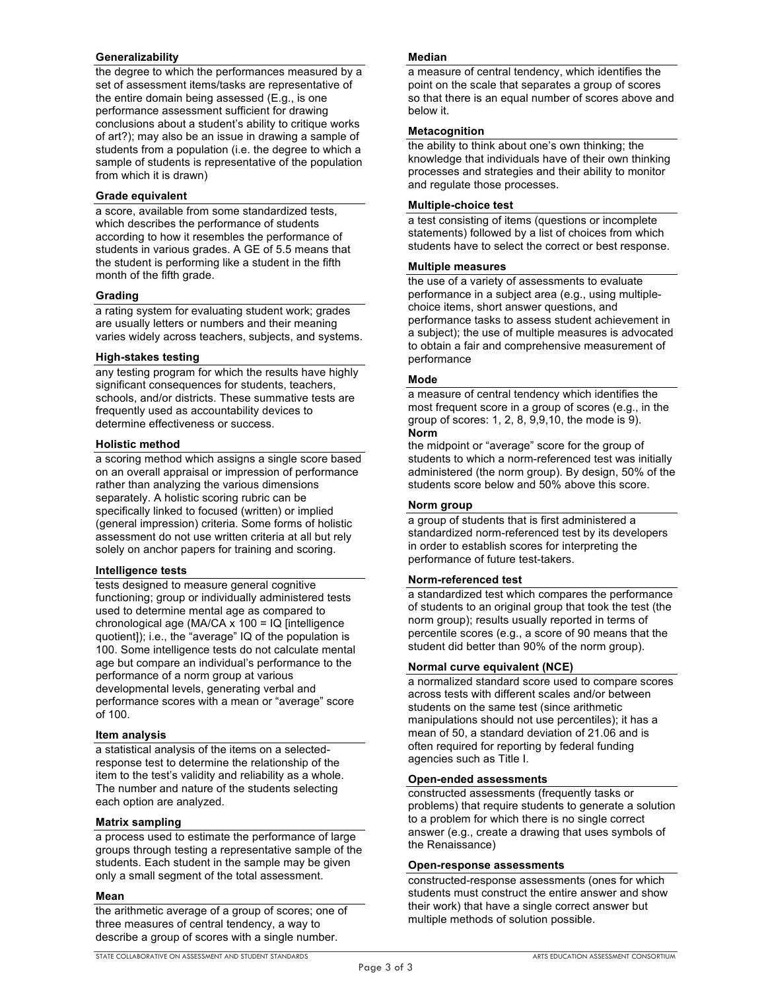## **Generalizability**

 set of assessment items/tasks are representative of performance assessment sufficient for drawing of art?); may also be an issue in drawing a sample of students from a population (i.e. the degree to which a sample of students is representative of the population the degree to which the performances measured by a the entire domain being assessed (E.g., is one conclusions about a student's ability to critique works from which it is drawn)

## **Grade equivalent**

 a score, available from some standardized tests, which describes the performance of students according to how it resembles the performance of students in various grades. A GE of 5.5 means that month of the fifth grade. the student is performing like a student in the fifth

## **Grading**

 a rating system for evaluating student work; grades are usually letters or numbers and their meaning varies widely across teachers, subjects, and systems.

## **High-stakes testing**

 any testing program for which the results have highly significant consequences for students, teachers, schools, and/or districts. These summative tests are determine effectiveness or success. frequently used as accountability devices to

# **Holistic method**

 on an overall appraisal or impression of performance rather than analyzing the various dimensions separately. A holistic scoring rubric can be specifically linked to focused (written) or implied (general impression) criteria. Some forms of holistic assessment do not use written criteria at all but rely solely on anchor papers for training and scoring. a scoring method which assigns a single score based

## **Intelligence tests**

 used to determine mental age as compared to chronological age (MA/CA x 100 = IQ [intelligence quotient]); i.e., the "average" IQ of the population is 100. Some intelligence tests do not calculate mental performance of a norm group at various performance scores with a mean or "average" score tests designed to measure general cognitive functioning; group or individually administered tests age but compare an individual's performance to the developmental levels, generating verbal and of 100.

## **Item analysis**

 a statistical analysis of the items on a selected- response test to determine the relationship of the item to the test's validity and reliability as a whole. The number and nature of the students selecting each option are analyzed.

## **Matrix sampling**

 students. Each student in the sample may be given only a small segment of the total assessment. a process used to estimate the performance of large groups through testing a representative sample of the

## **Mean**

 describe a group of scores with a single number. the arithmetic average of a group of scores; one of three measures of central tendency, a way to

## **Median**

 a measure of central tendency, which identifies the so that there is an equal number of scores above and point on the scale that separates a group of scores below it.

## **Metacognition**

 knowledge that individuals have of their own thinking processes and strategies and their ability to monitor the ability to think about one's own thinking; the and regulate those processes.

## **Multiple-choice test**

 a test consisting of items (questions or incomplete statements) followed by a list of choices from which students have to select the correct or best response.

## **Multiple measures**

 performance in a subject area (e.g., using multiple- choice items, short answer questions, and performance tasks to assess student achievement in a subject); the use of multiple measures is advocated the use of a variety of assessments to evaluate to obtain a fair and comprehensive measurement of performance

## **Mode**

 a measure of central tendency which identifies the most frequent score in a group of scores (e.g., in the group of scores: 1, 2, 8, 9,9,10, the mode is 9). **Norm** 

 students to which a norm-referenced test was initially administered (the norm group). By design, 50% of the students score below and 50% above this score. the midpoint or "average" score for the group of

# **Norm group**

 a group of students that is first administered a standardized norm-referenced test by its developers in order to establish scores for interpreting the performance of future test-takers.

## **Norm-referenced test**

 of students to an original group that took the test (the norm group); results usually reported in terms of percentile scores (e.g., a score of 90 means that the student did better than 90% of the norm group). a standardized test which compares the performance

## **Normal curve equivalent (NCE)**

 across tests with different scales and/or between students on the same test (since arithmetic manipulations should not use percentiles); it has a mean of 50, a standard deviation of 21.06 and is agencies such as Title I. a normalized standard score used to compare scores often required for reporting by federal funding

## **Open-ended assessments**

 constructed assessments (frequently tasks or problems) that require students to generate a solution answer (e.g., create a drawing that uses symbols of to a problem for which there is no single correct the Renaissance)

## **Open-response assessments**

 constructed-response assessments (ones for which students must construct the entire answer and show multiple methods of solution possible. their work) that have a single correct answer but

STATE COLLABORATIVE ON ASSESSMENT AND STUDENT STANDARDS ARTS EDUCATION ASSESSMENT CONSORTIUM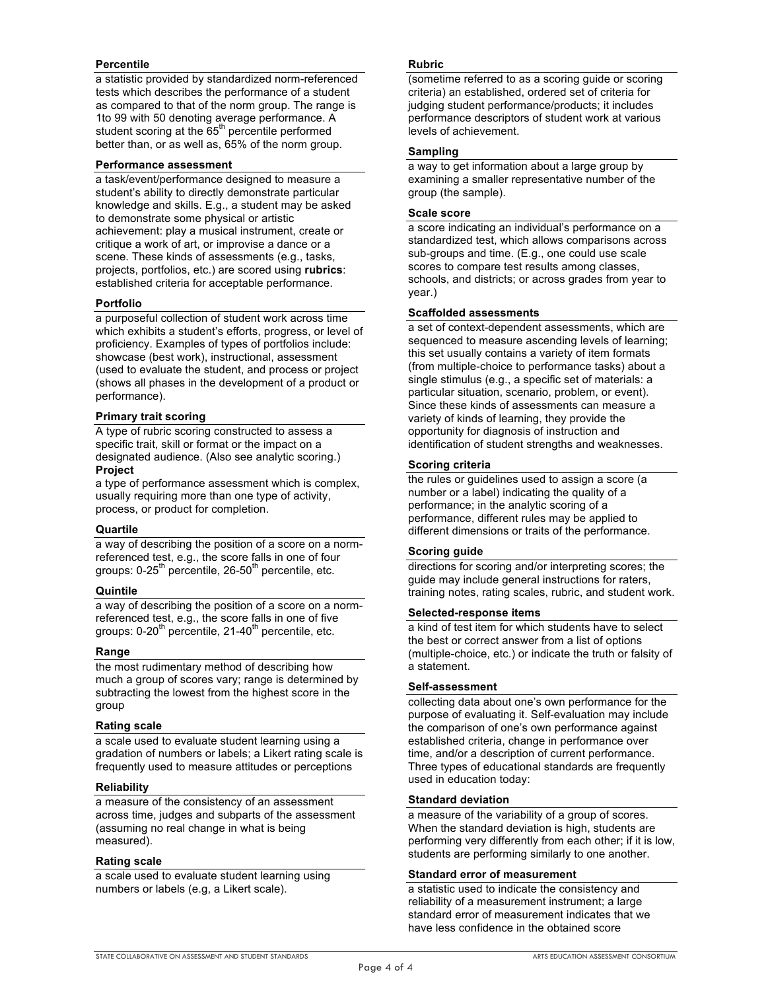## **Percentile**

 tests which describes the performance of a student as compared to that of the norm group. The range is student scoring at the 65<sup>th</sup> percentile performed better than, or as well as, 65% of the norm group. a statistic provided by standardized norm-referenced 1to 99 with 50 denoting average performance. A

## **Performance assessment**

 student's ability to directly demonstrate particular knowledge and skills. E.g., a student may be asked achievement: play a musical instrument, create or critique a work of art, or improvise a dance or a scene. These kinds of assessments (e.g., tasks, projects, portfolios, etc.) are scored using **rubrics**: a task/event/performance designed to measure a to demonstrate some physical or artistic established criteria for acceptable performance.

# **Portfolio**

 a purposeful collection of student work across time which exhibits a student's efforts, progress, or level of proficiency. Examples of types of portfolios include: showcase (best work), instructional, assessment (used to evaluate the student, and process or project (shows all phases in the development of a product or performance).

# **Primary trait scoring**

 A type of rubric scoring constructed to assess a specific trait, skill or format or the impact on a designated audience. (Also see analytic scoring.) **Project** 

 a type of performance assessment which is complex, usually requiring more than one type of activity, process, or product for completion.

## **Quartile**

 referenced test, e.g., the score falls in one of four a way of describing the position of a score on a normgroups: 0-25<sup>th</sup> percentile, 26-50<sup>th</sup> percentile, etc.

## **Quintile**

 referenced test, e.g., the score falls in one of five a way of describing the position of a score on a normgroups:  $0-20<sup>th</sup>$  percentile,  $21-40<sup>th</sup>$  percentile, etc.

## **Range**

 much a group of scores vary; range is determined by subtracting the lowest from the highest score in the the most rudimentary method of describing how group

## **Rating scale**

 gradation of numbers or labels; a Likert rating scale is a scale used to evaluate student learning using a frequently used to measure attitudes or perceptions

## **Reliability**

 a measure of the consistency of an assessment across time, judges and subparts of the assessment (assuming no real change in what is being measured).

## **Rating scale**

 numbers or labels (e.g, a Likert scale). a scale used to evaluate student learning using

# **Rubric**

 (sometime referred to as a scoring guide or scoring criteria) an established, ordered set of criteria for judging student performance/products; it includes performance descriptors of student work at various levels of achievement.

## **Sampling**

 a way to get information about a large group by examining a smaller representative number of the group (the sample).

## **Scale score**

 standardized test, which allows comparisons across sub-groups and time. (E.g., one could use scale scores to compare test results among classes, schools, and districts; or across grades from year to year.) a score indicating an individual's performance on a

# **Scaffolded assessments**

 a set of context-dependent assessments, which are sequenced to measure ascending levels of learning; (from multiple-choice to performance tasks) about a single stimulus (e.g., a specific set of materials: a particular situation, scenario, problem, or event). Since these kinds of assessments can measure a variety of kinds of learning, they provide the opportunity for diagnosis of instruction and this set usually contains a variety of item formats identification of student strengths and weaknesses.

# **Scoring criteria**

 number or a label) indicating the quality of a performance, different rules may be applied to different dimensions or traits of the performance. the rules or guidelines used to assign a score (a performance; in the analytic scoring of a

# **Scoring guide**

 directions for scoring and/or interpreting scores; the guide may include general instructions for raters, training notes, rating scales, rubric, and student work.

## **Selected-response items**

 a kind of test item for which students have to select (multiple-choice, etc.) or indicate the truth or falsity of the best or correct answer from a list of options a statement.

## **Self-assessment**

 collecting data about one's own performance for the Three types of educational standards are frequently purpose of evaluating it. Self-evaluation may include the comparison of one's own performance against established criteria, change in performance over time, and/or a description of current performance. used in education today:

## **Standard deviation**

 a measure of the variability of a group of scores. When the standard deviation is high, students are performing very differently from each other; if it is low, students are performing similarly to one another.

## **Standard error of measurement**

 reliability of a measurement instrument; a large standard error of measurement indicates that we a statistic used to indicate the consistency and have less confidence in the obtained score